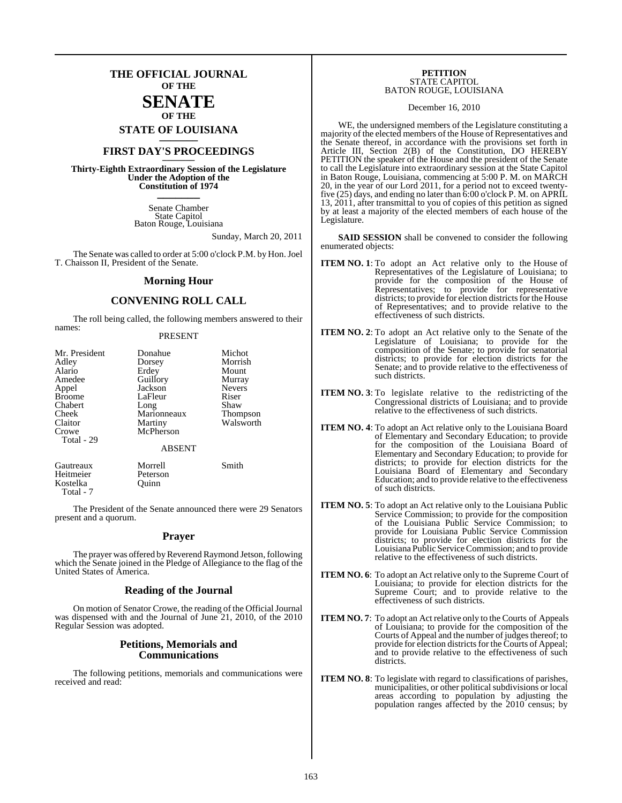### **THE OFFICIAL JOURNAL OF THE**

#### **SENATE OF THE**

**STATE OF LOUISIANA \_\_\_\_\_\_\_**

### **FIRST DAY'S PROCEEDINGS \_\_\_\_\_\_\_**

**Thirty-Eighth Extraordinary Session of the Legislature Under the Adoption of the Constitution of 1974 \_\_\_\_\_\_\_**

> Senate Chamber State Capitol Baton Rouge, Louisiana

> > Sunday, March 20, 2011

The Senate was called to order at 5:00 o'clock P.M. by Hon. Joel T. Chaisson II, President of the Senate.

#### **Morning Hour**

#### **CONVENING ROLL CALL**

The roll being called, the following members answered to their names:

#### PRESENT

| Mr. President<br>Adley<br>Alario<br>Amedee<br>Appel<br><b>Broome</b><br>Chabert<br>Cheek<br>Claitor<br>Crowe | Donahue<br>Dorsey<br>Erdey<br>Guillory<br>Jackson<br>LaFleur<br>Long<br>Marionneaux<br>Martiny<br>McPherson | Michot<br>Morrish<br>Mount<br>Murray<br><b>Nevers</b><br>Riser<br>Shaw<br>Thompson<br>Walsworth |
|--------------------------------------------------------------------------------------------------------------|-------------------------------------------------------------------------------------------------------------|-------------------------------------------------------------------------------------------------|
| Total - 29                                                                                                   | <b>ABSENT</b>                                                                                               |                                                                                                 |
| Gautreaux<br>Heitmeier                                                                                       | Morrell<br>Peterson                                                                                         | Smith                                                                                           |

 Total - 7 The President of the Senate announced there were 29 Senators present and a quorum.

Kostelka Quinn

#### **Prayer**

The prayer was offered by Reverend Raymond Jetson, following which the Senate joined in the Pledge of Allegiance to the flag of the United States of America.

#### **Reading of the Journal**

On motion of Senator Crowe, the reading of the Official Journal was dispensed with and the Journal of June 21, 2010, of the 2010 Regular Session was adopted.

#### **Petitions, Memorials and Communications**

The following petitions, memorials and communications were received and read:

#### **PETITION** STATE CAPITOL BATON ROUGE, LOUISIANA

December 16, 2010

WE, the undersigned members of the Legislature constituting a majority of the elected members of the House of Representatives and the Senate thereof, in accordance with the provisions set forth in Article III, Section 2(B) of the Constitution, DO HEREBY PETITION the speaker of the House and the president of the Senate to call the Legislature into extraordinary session at the State Capitol in Baton Rouge, Louisiana, commencing at 5:00 P. M. on MARCH 20, in the year of our Lord 2011, for a period not to exceed twentyfive (25) days, and ending no later than 6:00 o'clock P. M. on APRIL 13, 2011, after transmittal to you of copies of this petition as signed by at least a majority of the elected members of each house of the Legislature.

**SAID SESSION** shall be convened to consider the following enumerated objects:

- **ITEM NO. 1**: To adopt an Act relative only to the House of Representatives of the Legislature of Louisiana; to provide for the composition of the House of Representatives; to provide for representative districts; to provide for election districts for the House of Representatives; and to provide relative to the effectiveness of such districts.
- **ITEM NO. 2**: To adopt an Act relative only to the Senate of the Legislature of Louisiana; to provide for the composition of the Senate; to provide for senatorial districts; to provide for election districts for the Senate; and to provide relative to the effectiveness of such districts.
- **ITEM NO. 3**: To legislate relative to the redistricting of the Congressional districts of Louisiana; and to provide relative to the effectiveness of such districts.
- **ITEM NO. 4**: To adopt an Act relative only to the Louisiana Board of Elementary and Secondary Education; to provide for the composition of the Louisiana Board of Elementary and Secondary Education; to provide for districts; to provide for election districts for the Louisiana Board of Elementary and Secondary Education; and to provide relative to the effectiveness of such districts.
- **ITEM NO. 5**: To adopt an Act relative only to the Louisiana Public Service Commission; to provide for the composition of the Louisiana Public Service Commission; to provide for Louisiana Public Service Commission districts; to provide for election districts for the Louisiana Public Service Commission; and to provide relative to the effectiveness of such districts.
- **ITEM NO. 6**: To adopt an Act relative only to the Supreme Court of Louisiana; to provide for election districts for the Supreme Court; and to provide relative to the effectiveness of such districts.
- **ITEM NO. 7**: To adopt an Act relative only to the Courts of Appeals of Louisiana; to provide for the composition of the Courts of Appeal and the number of judges thereof; to provide for election districts for the Courts of Appeal; and to provide relative to the effectiveness of such districts.
- **ITEM NO. 8**: To legislate with regard to classifications of parishes, municipalities, or other political subdivisions or local areas according to population by adjusting the population ranges affected by the 2010 census; by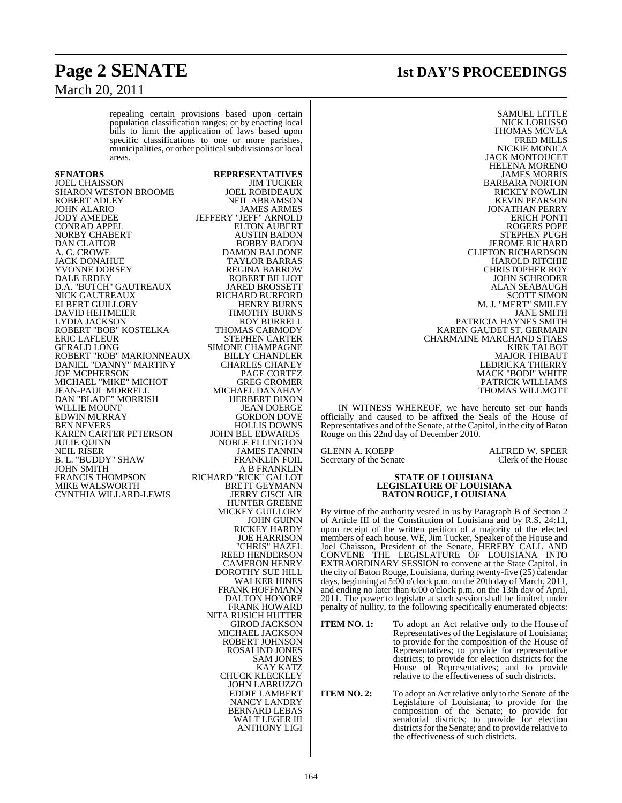## **Page 2 SENATE 1st DAY'S PROCEEDINGS**

# March 20, 2011

repealing certain provisions based upon certain population classification ranges; or by enacting local bills to limit the application of laws based upon specific classifications to one or more parishes, municipalities, or other political subdivisions or local areas.

#### **SENATORS REPRESENTATIVES** JOEL CHAISSON JIM TUCKER SHARON WESTON BROOME<br>ROBERT ADLEY ROBERT ADLEY NEIL ABRAMSON JOHN ALARIO JAMES ARMES JODY AMEDEE JEFFERY "JEFF" ARNOLD CONRAD APPEL ELTON AUBERT NORBY CHABERT AUSTIN BADON<br>DAN CLAITOR BOBBY BADON DAN CLAITOR BOBBY BADON A. G. CROWE DAMON BALDONE JACK DONAHUE TAYLOR BARRAS YVONNE DORSEY REGINA BARROW D.A. "BUTCH" GAUTREAUX JARED BROSSETT NICK GAUTREAUX RICHARD BURFORD<br>ELBERT GUILLORY HENRY BURNS ELBERT GUILLORY HENRY BURNS DAVID HEITMEIER TIMOTHY BURNS LYDIA JACKSON ROY BURRELL ROBERT "BOB" KOSTELKA<br>ERIC LAFLEUR GERALD LONG SIMONE CHAMPAGNE ROBERT "ROB" MARIONNEAUX BILLY CHANDLER DANIEL "DANNY" MARTINY CHARLES CHANEY JOE MCPHERSON PAGE CORTEZ MICHAEL "MIKE" MICHOT GREG CROMER GRAM-PAUL MORRELL MICHAEL DANAHAY JEAN-PAUL MORRELL MICHAEL DANAHAY DAN "BLADE" MORRISH HERBERT DIXON DAN "BLADE" MORRISH<br>WILLIE MOUNT EDWIN MURRAY<br>BEN NEVERS KAREN CARTER PETERSON<br>JULIE QUINN JULIE QUINN NOBLE ELLINGTON B. L. "BUDDY" SHAW<br>JOHN SMITH JOHN SMITH A B FRANKLIN MIKE WALSWORTH BRETT GEYMANN CYNTHIA WILLARD-LEWIS JERRY GISCLAIR CYNTHIA WILLARD-LEWIS

ROBERT BILLIOT<br>JARED BROSSETT STEPHEN CARTER<br>SIMONE CHAMPAGNE JEAN DOERGE<br>GORDON DOVE HOLLIS DOWNS<br>JOHN BEL EDWARDS JAMES FANNIN<br>FRANKLIN FOIL RICHARD "RICK" GALLOT<br>BRETT GEYMANN HUNTER GREENE MICKEY GUILLORY JOHN GUINN RICKEY HARDY JOE HARRISON "CHRIS" HAZEL REED HENDERSON CAMERON HENRY DOROTHY SUE HILL WALKER HINES FRANK HOFFMANN DALTON HONORÉ FRANK HOWARD NITA RUSICH HUTTER GIROD JACKSON MICHAEL JACKSON ROBERT JOHNSON ROSALIND JONES SAM JONES KAY KATZ CHUCK KLECKLEY JOHN LABRUZZO EDDIE LAMBERT NANCY LANDRY BERNARD LEBAS WALT LEGER III ANTHONY LIGI

SAMUEL LITTLE NICK LORUSSO THOMAS MCVEA FRED MILLS NICKIE MONICA JACK MONTOUCET HELENA MORENO JAMES MORRIS BARBARA NORTON RICKEY NOWLIN KEVIN PEARSON JONATHAN PERRY ERICH PONTI ROGERS POPE STEPHEN PUGH JEROME RICHARD CLIFTON RICHARDSON HAROLD RITCHIE CHRISTOPHER ROY JOHN SCHRODER ALAN SEABAUGH SCOTT SIMON M. J. "MERT" SMILEY JANE SMITH PATRICIA HAYNES SMITH KAREN GAUDET ST. GERMAIN CHARMAINE MARCHAND STIAES KIRK TALBOT MAJOR THIBAUT LEDRICKA THIERRY MACK "BODI" WHITE PATRICK WILLIAMS THOMAS WILLMOTT

IN WITNESS WHEREOF, we have hereuto set our hands officially and caused to be affixed the Seals of the House of Representatives and of the Senate, at the Capitol, in the city of Baton Rouge on this 22nd day of December 2010.

GLENN A. KOEPP **ALFRED W. SPEER**<br>Secretary of the Senate **Clerk** of the House Secretary of the Senate

#### **STATE OF LOUISIANA LEGISLATURE OF LOUISIANA BATON ROUGE, LOUISIANA**

By virtue of the authority vested in us by Paragraph B of Section 2 of Article III of the Constitution of Louisiana and by R.S. 24:11, upon receipt of the written petition of a majority of the elected members of each house. WE, Jim Tucker, Speaker of the House and Joel Chaisson, President of the Senate, HEREBY CALL AND CONVENE THE LEGISLATURE OF LOUISIANA INTO EXTRAORDINARY SESSION to convene at the State Capitol, in the city of Baton Rouge, Louisiana, during twenty-five (25) calendar days, beginning at 5:00 o'clock p.m. on the 20th day of March, 2011, and ending no later than 6:00 o'clock p.m. on the 13th day of April, 2011. The power to legislate at such session shall be limited, under penalty of nullity, to the following specifically enumerated objects:

- **ITEM NO. 1:** To adopt an Act relative only to the House of Representatives of the Legislature of Louisiana; to provide for the composition of the House of Representatives; to provide for representative districts; to provide for election districts for the House of Representatives; and to provide relative to the effectiveness of such districts.
- **ITEM NO. 2:** To adopt an Act relative only to the Senate of the Legislature of Louisiana; to provide for the composition of the Senate; to provide for senatorial districts; to provide for election districts for the Senate; and to provide relative to the effectiveness of such districts.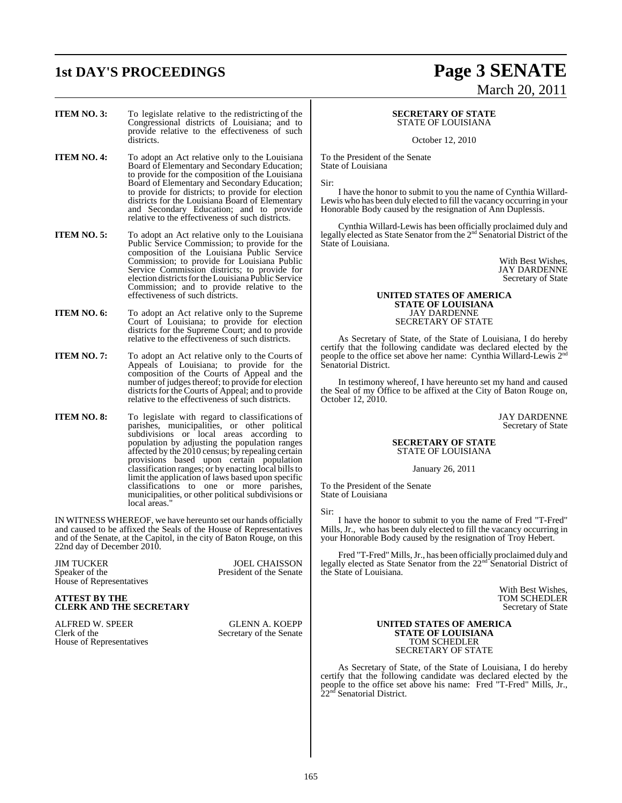## **1st DAY'S PROCEEDINGS Page 3 SENATE**

## March 20, 2011

- **ITEM NO. 3:** To legislate relative to the redistricting of the Congressional districts of Louisiana; and to provide relative to the effectiveness of such districts.
- **ITEM NO. 4:** To adopt an Act relative only to the Louisiana Board of Elementary and Secondary Education; to provide for the composition of the Louisiana Board of Elementary and Secondary Education; to provide for districts; to provide for election districts for the Louisiana Board of Elementary and Secondary Education; and to provide relative to the effectiveness of such districts.

**ITEM NO. 5:** To adopt an Act relative only to the Louisiana Public Service Commission; to provide for the composition of the Louisiana Public Service Commission; to provide for Louisiana Public Service Commission districts; to provide for election districts for the Louisiana Public Service Commission; and to provide relative to the effectiveness of such districts.

- **ITEM NO. 6:** To adopt an Act relative only to the Supreme Court of Louisiana; to provide for election districts for the Supreme Court; and to provide relative to the effectiveness of such districts.
- **ITEM NO. 7:** To adopt an Act relative only to the Courts of Appeals of Louisiana; to provide for the composition of the Courts of Appeal and the number of judges thereof; to provide for election districts for the Courts of Appeal; and to provide relative to the effectiveness of such districts.
- **ITEM NO. 8:** To legislate with regard to classifications of parishes, municipalities, or other political subdivisions or local areas according to population by adjusting the population ranges affected by the 2010 census; by repealing certain provisions based upon certain population classification ranges; or by enacting local bills to limit the application of laws based upon specific classifications to one or more parishes, municipalities, or other political subdivisions or local areas."

IN WITNESS WHEREOF, we have hereunto set our hands officially and caused to be affixed the Seals of the House of Representatives and of the Senate, at the Capitol, in the city of Baton Rouge, on this 22nd day of December 2010.

JIM TUCKER<br>Speaker of the Senate President of the Senate House of Representatives

President of the Senate

#### **ATTEST BY THE CLERK AND THE SECRETARY**

ALFRED W. SPEER GLENN A. KOEPP Clerk of the Secretary of the Senate House of Representatives

#### **SECRETARY OF STATE** STATE OF LOUISIANA

October 12, 2010

To the President of the Senate State of Louisiana

Sir:

I have the honor to submit to you the name of Cynthia Willard-Lewis who has been duly elected to fill the vacancy occurring in your Honorable Body caused by the resignation of Ann Duplessis.

Cynthia Willard-Lewis has been officially proclaimed duly and legally elected as State Senator from the 2<sup>nd</sup> Senatorial District of the State of Louisiana.

> With Best Wishes, JAY DARDENNE Secretary of State

#### **UNITED STATES OF AMERICA STATE OF LOUISIANA** JAY DARDENNE SECRETARY OF STATE

As Secretary of State, of the State of Louisiana, I do hereby certify that the following candidate was declared elected by the people to the office set above her name: Cynthia Willard-Lewis  $2<sup>nd</sup>$ Senatorial District.

In testimony whereof, I have hereunto set my hand and caused the Seal of my Office to be affixed at the City of Baton Rouge on, October 12, 2010.

> JAY DARDENNE Secretary of State

#### **SECRETARY OF STATE** STATE OF LOUISIANA

January 26, 2011

To the President of the Senate State of Louisiana

Sir:

I have the honor to submit to you the name of Fred "T-Fred" Mills, Jr., who has been duly elected to fill the vacancy occurring in your Honorable Body caused by the resignation of Troy Hebert.

Fred "T-Fred" Mills, Jr., has been officially proclaimed duly and legally elected as State Senator from the 22<sup>nd</sup> Senatorial District of the State of Louisiana.

> With Best Wishes, TOM SCHEDLER Secretary of State

#### **UNITED STATES OF AMERICA STATE OF LOUISIANA** TOM SCHEDLER SECRETARY OF STATE

As Secretary of State, of the State of Louisiana, I do hereby certify that the following candidate was declared elected by the people to the office set above his name: Fred "T-Fred" Mills, Jr., 22<sup>nd</sup> Senatorial District.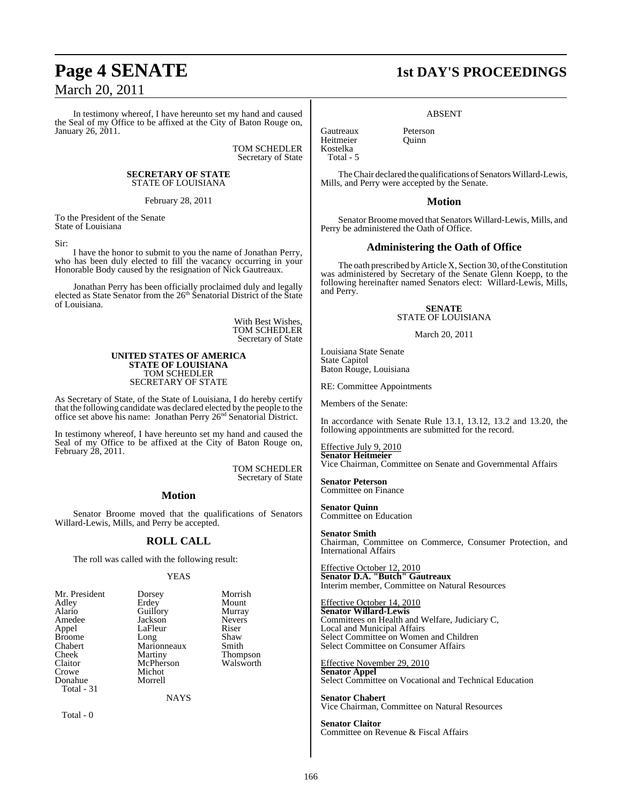## March 20, 2011

In testimony whereof, I have hereunto set my hand and caused the Seal of my Office to be affixed at the City of Baton Rouge on, January 26, 2011.

> TOM SCHEDLER Secretary of State

#### **SECRETARY OF STATE** STATE OF LOUISIANA

February 28, 2011

To the President of the Senate State of Louisiana

Sir:

I have the honor to submit to you the name of Jonathan Perry, who has been duly elected to fill the vacancy occurring in your Honorable Body caused by the resignation of Nick Gautreaux.

Jonathan Perry has been officially proclaimed duly and legally elected as State Senator from the 26th Senatorial District of the State of Louisiana.

> With Best Wishes, TOM SCHEDLER Secretary of State

#### **UNITED STATES OF AMERICA STATE OF LOUISIANA** TOM SCHEDLER SECRETARY OF STATE

As Secretary of State, of the State of Louisiana, I do hereby certify that the following candidate was declared elected by the people to the office set above his name: Jonathan Perry 26<sup>nd</sup> Senatorial District.

In testimony whereof, I have hereunto set my hand and caused the Seal of my Office to be affixed at the City of Baton Rouge on, February 28, 2011.

> TOM SCHEDLER Secretary of State

#### **Motion**

Senator Broome moved that the qualifications of Senators Willard-Lewis, Mills, and Perry be accepted.

#### **ROLL CALL**

The roll was called with the following result:

#### YEAS

NAYS

| Mr. President | Dorsey      | Morri |
|---------------|-------------|-------|
| Adley         | Erdey       | Mour  |
| Alario        | Guillory    | Murra |
| Amedee        | Jackson     | Never |
| Appel         | LaFleur     | Riser |
| <b>Broome</b> | Long        | Shaw  |
| Chabert       | Marionneaux | Smith |
| Cheek         | Martiny     | Thom  |
| Claitor       | McPherson   | Walsy |
| Crowe         | Michot      |       |
| Donahue       | Morrell     |       |
| Total - 31    |             |       |
|               |             |       |

Total - 0

Dorsey Morrish<br>President Dount Mount<br>Murray Nevers<br>Riser Albeing Laffleur Riser<br>
Long Shaw Marionneaux Smith<br>Martiny Thom Martiny Thompson<br>McPherson Walsworth Walsworth

## **Page 4 SENATE 1st DAY'S PROCEEDINGS**

ABSENT

Gautreaux Peterson Heitmeier Kostelka Total - 5

The Chair declared the qualifications of Senators Willard-Lewis, Mills, and Perry were accepted by the Senate.

#### **Motion**

Senator Broome moved that Senators Willard-Lewis, Mills, and Perry be administered the Oath of Office.

#### **Administering the Oath of Office**

The oath prescribed by Article X, Section 30, of the Constitution was administered by Secretary of the Senate Glenn Koepp, to the following hereinafter named Senators elect: Willard-Lewis, Mills, and Perry.

> **SENATE** STATE OF LOUISIANA

> > March 20, 2011

Louisiana State Senate State Capitol Baton Rouge, Louisiana

RE: Committee Appointments

Members of the Senate:

In accordance with Senate Rule 13.1, 13.12, 13.2 and 13.20, the following appointments are submitted for the record.

Effective July 9, 2010 **Senator Heitmeier** Vice Chairman, Committee on Senate and Governmental Affairs

**Senator Peterson** Committee on Finance

**Senator Quinn** Committee on Education

**Senator Smith** Chairman, Committee on Commerce, Consumer Protection, and International Affairs

Effective October 12, 2010 **Senator D.A. "Butch" Gautreaux** Interim member, Committee on Natural Resources

Effective October 14, 2010 **Senator Willard-Lewis** Committees on Health and Welfare, Judiciary C, Local and Municipal Affairs Select Committee on Women and Children Select Committee on Consumer Affairs

Effective November 29, 2010 **Senator Appel** Select Committee on Vocational and Technical Education

**Senator Chabert** Vice Chairman, Committee on Natural Resources

**Senator Claitor** Committee on Revenue & Fiscal Affairs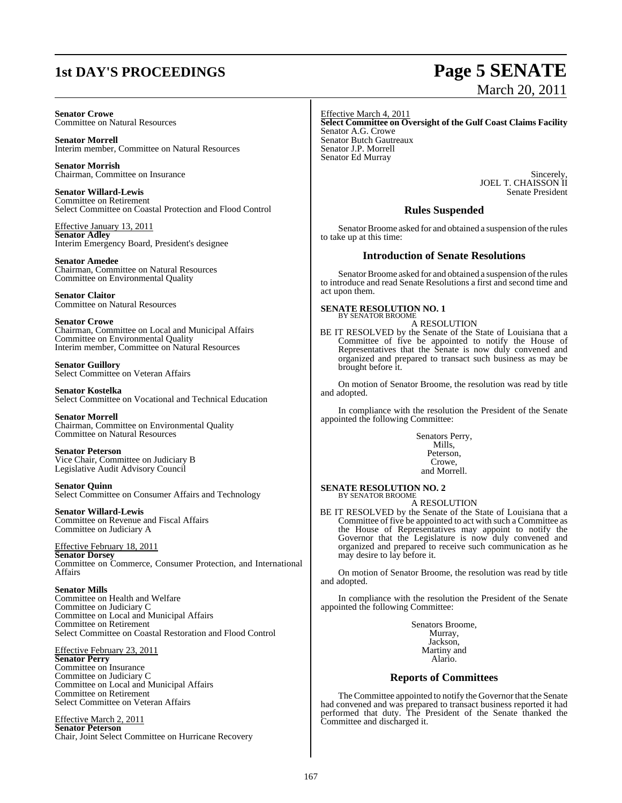## **1st DAY'S PROCEEDINGS Page 5 SENATE**

#### **Senator Crowe** Committee on Natural Resources

**Senator Morrell** Interim member, Committee on Natural Resources

**Senator Morrish** Chairman, Committee on Insurance

**Senator Willard-Lewis** Committee on Retirement Select Committee on Coastal Protection and Flood Control

Effective January 13, 2011 **Senator Adley** Interim Emergency Board, President's designee

**Senator Amedee** Chairman, Committee on Natural Resources Committee on Environmental Quality

**Senator Claitor** Committee on Natural Resources

#### **Senator Crowe**

Chairman, Committee on Local and Municipal Affairs Committee on Environmental Quality Interim member, Committee on Natural Resources

**Senator Guillory** Select Committee on Veteran Affairs

**Senator Kostelka** Select Committee on Vocational and Technical Education

### **Senator Morrell**

Chairman, Committee on Environmental Quality Committee on Natural Resources

### **Senator Peterson**

Vice Chair, Committee on Judiciary B Legislative Audit Advisory Council

#### **Senator Quinn**

Select Committee on Consumer Affairs and Technology

### **Senator Willard-Lewis**

Committee on Revenue and Fiscal Affairs Committee on Judiciary A

#### Effective February 18, 2011

**Senator Dorsey** Committee on Commerce, Consumer Protection, and International **Affairs** 

#### **Senator Mills**

Committee on Health and Welfare Committee on Judiciary C Committee on Local and Municipal Affairs Committee on Retirement Select Committee on Coastal Restoration and Flood Control

#### Effective February 23, 2011

**Senator Perry** Committee on Insurance Committee on Judiciary C Committee on Local and Municipal Affairs Committee on Retirement Select Committee on Veteran Affairs

Effective March 2, 2011 **Senator Peterson** Chair, Joint Select Committee on Hurricane Recovery Effective March 4, 2011 **Select Committee on Oversight of the Gulf Coast Claims Facility** Senator A.G. Crowe Senator Butch Gautreaux Senator J.P. Morrell Senator Ed Murray

> Sincerely, JOEL T. CHAISSON II Senate President

#### **Rules Suspended**

Senator Broome asked for and obtained a suspension of the rules to take up at this time:

#### **Introduction of Senate Resolutions**

Senator Broome asked for and obtained a suspension of the rules to introduce and read Senate Resolutions a first and second time and act upon them.

#### **SENATE RESOLUTION NO. 1** BY SENATOR BROOME

A RESOLUTION

BE IT RESOLVED by the Senate of the State of Louisiana that a Committee of five be appointed to notify the House of Representatives that the Senate is now duly convened and organized and prepared to transact such business as may be brought before it.

On motion of Senator Broome, the resolution was read by title and adopted.

In compliance with the resolution the President of the Senate appointed the following Committee:

> Senators Perry, Mills, Peterson, Crowe, and Morrell.

**SENATE RESOLUTION NO. 2** BY SENATOR BROOME

A RESOLUTION

BE IT RESOLVED by the Senate of the State of Louisiana that a Committee of five be appointed to act with such a Committee as the House of Representatives may appoint to notify the Governor that the Legislature is now duly convened and organized and prepared to receive such communication as he may desire to lay before it.

On motion of Senator Broome, the resolution was read by title and adopted.

In compliance with the resolution the President of the Senate appointed the following Committee:

> Senators Broome, Murray, Jackson, Martiny and Alario.

#### **Reports of Committees**

The Committee appointed to notify the Governor that the Senate had convened and was prepared to transact business reported it had performed that duty. The President of the Senate thanked the Committee and discharged it.

# March 20, 2011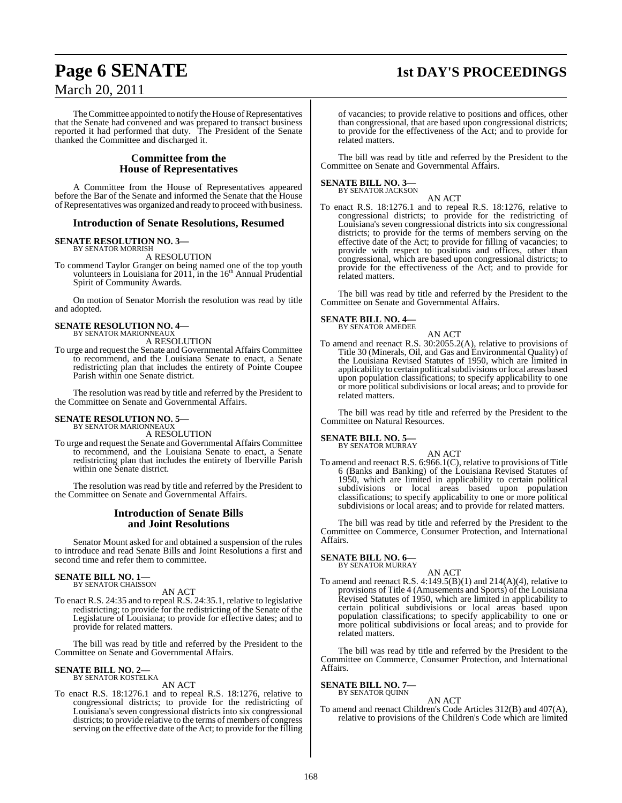# March 20, 2011

## **Page 6 SENATE 1st DAY'S PROCEEDINGS**

The Committee appointed to notify the House of Representatives that the Senate had convened and was prepared to transact business reported it had performed that duty. The President of the Senate thanked the Committee and discharged it.

#### **Committee from the House of Representatives**

A Committee from the House of Representatives appeared before the Bar of the Senate and informed the Senate that the House ofRepresentativeswas organized and ready to proceed with business.

#### **Introduction of Senate Resolutions, Resumed**

#### **SENATE RESOLUTION NO. 3—** BY SENATOR MORRISH

A RESOLUTION

To commend Taylor Granger on being named one of the top youth volunteers in Louisiana for 2011, in the 16<sup>th</sup> Annual Prudential Spirit of Community Awards.

On motion of Senator Morrish the resolution was read by title and adopted.

#### **SENATE RESOLUTION NO. 4—** BY SENATOR MARIONNEAUX A RESOLUTION

To urge and request the Senate and Governmental Affairs Committee to recommend, and the Louisiana Senate to enact, a Senate redistricting plan that includes the entirety of Pointe Coupee Parish within one Senate district.

The resolution was read by title and referred by the President to the Committee on Senate and Governmental Affairs.

## **SENATE RESOLUTION NO. 5—** BY SENATOR MARIONNEAUX

A RESOLUTION

To urge and request the Senate and Governmental Affairs Committee to recommend, and the Louisiana Senate to enact, a Senate redistricting plan that includes the entirety of Iberville Parish within one Senate district.

The resolution was read by title and referred by the President to the Committee on Senate and Governmental Affairs.

#### **Introduction of Senate Bills and Joint Resolutions**

Senator Mount asked for and obtained a suspension of the rules to introduce and read Senate Bills and Joint Resolutions a first and second time and refer them to committee.

#### **SENATE BILL NO. 1—** BY SENATOR CHAISSON

AN ACT

To enact R.S. 24:35 and to repeal R.S. 24:35.1, relative to legislative redistricting; to provide for the redistricting of the Senate of the Legislature of Louisiana; to provide for effective dates; and to provide for related matters.

The bill was read by title and referred by the President to the Committee on Senate and Governmental Affairs.

## **SENATE BILL NO. 2—** BY SENATOR KOSTELKA

AN ACT

To enact R.S. 18:1276.1 and to repeal R.S. 18:1276, relative to congressional districts; to provide for the redistricting of Louisiana's seven congressional districts into six congressional districts; to provide relative to the terms of members of congress serving on the effective date of the Act; to provide for the filling

of vacancies; to provide relative to positions and offices, other than congressional, that are based upon congressional districts; to provide for the effectiveness of the Act; and to provide for related matters.

The bill was read by title and referred by the President to the Committee on Senate and Governmental Affairs.

## **SENATE BILL NO. 3—** BY SENATOR JACKSON

AN ACT To enact R.S. 18:1276.1 and to repeal R.S. 18:1276, relative to congressional districts; to provide for the redistricting of Louisiana's seven congressional districts into six congressional districts; to provide for the terms of members serving on the effective date of the Act; to provide for filling of vacancies; to provide with respect to positions and offices, other than congressional, which are based upon congressional districts; to provide for the effectiveness of the Act; and to provide for related matters.

The bill was read by title and referred by the President to the Committee on Senate and Governmental Affairs.

## **SENATE BILL NO. 4—** BY SENATOR AMEDEE

AN ACT

To amend and reenact R.S. 30:2055.2(A), relative to provisions of Title 30 (Minerals, Oil, and Gas and Environmental Quality) of the Louisiana Revised Statutes of 1950, which are limited in applicability to certain political subdivisions or local areas based upon population classifications; to specify applicability to one or more political subdivisions or local areas; and to provide for related matters.

The bill was read by title and referred by the President to the Committee on Natural Resources.

**SENATE BILL NO. 5—**

### BY SENATOR MURRAY

AN ACT To amend and reenact R.S. 6:966.1(C), relative to provisions of Title 6 (Banks and Banking) of the Louisiana Revised Statutes of 1950, which are limited in applicability to certain political subdivisions or local areas based upon population classifications; to specify applicability to one or more political subdivisions or local areas; and to provide for related matters.

The bill was read by title and referred by the President to the Committee on Commerce, Consumer Protection, and International Affairs.

#### **SENATE BILL NO. 6—**

BY SENATOR MURRAY

- AN ACT
- To amend and reenact R.S.  $4:149.5(B)(1)$  and  $214(A)(4)$ , relative to provisions of Title 4 (Amusements and Sports) of the Louisiana Revised Statutes of 1950, which are limited in applicability to certain political subdivisions or local areas based upon population classifications; to specify applicability to one or more political subdivisions or local areas; and to provide for related matters.

The bill was read by title and referred by the President to the Committee on Commerce, Consumer Protection, and International Affairs.

#### **SENATE BILL NO. 7—**

BY SENATOR QUINN

AN ACT To amend and reenact Children's Code Articles 312(B) and 407(A), relative to provisions of the Children's Code which are limited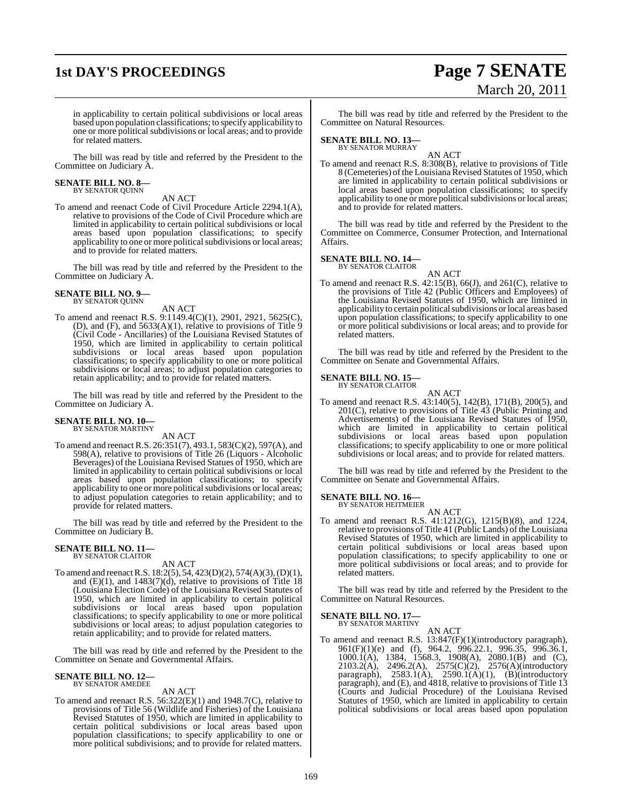## **1st DAY'S PROCEEDINGS Page 7 SENATE**

# March 20, 2011

in applicability to certain political subdivisions or local areas based upon population classifications; to specify applicability to one or more political subdivisions or local areas; and to provide for related matters.

The bill was read by title and referred by the President to the Committee on Judiciary A.

## **SENATE BILL NO. 8—** BY SENATOR QUINN

AN ACT

To amend and reenact Code of Civil Procedure Article 2294.1(A), relative to provisions of the Code of Civil Procedure which are limited in applicability to certain political subdivisions or local areas based upon population classifications; to specify applicability to one or more political subdivisions or local areas; and to provide for related matters.

The bill was read by title and referred by the President to the Committee on Judiciary A.

#### **SENATE BILL NO. 9—** BY SENATOR QUINN

AN ACT

To amend and reenact R.S. 9:1149.4(C)(1), 2901, 2921, 5625(C), (D), and  $(F)$ , and  $5633(A)(1)$ , relative to provisions of Title 9 (Civil Code - Ancillaries) of the Louisiana Revised Statutes of 1950, which are limited in applicability to certain political subdivisions or local areas based upon population classifications; to specify applicability to one or more political subdivisions or local areas; to adjust population categories to retain applicability; and to provide for related matters.

The bill was read by title and referred by the President to the Committee on Judiciary A.

#### **SENATE BILL NO. 10—** BY SENATOR MARTINY

AN ACT

To amend and reenact R.S. 26:351(7), 493.1, 583(C)(2), 597(A), and 598(A), relative to provisions of Title 26 (Liquors - Alcoholic Beverages) of the Louisiana Revised Statues of 1950, which are limited in applicability to certain political subdivisions or local areas based upon population classifications; to specify applicability to one or more political subdivisions or local areas; to adjust population categories to retain applicability; and to provide for related matters.

The bill was read by title and referred by the President to the Committee on Judiciary B.

#### **SENATE BILL NO. 11—** BY SENATOR CLAITOR

AN ACT

To amend and reenact R.S. 18:2(5), 54, 423(D)(2), 574(A)(3), (D)(1), and  $(E)(1)$ , and  $1483(7)(d)$ , relative to provisions of Title 18 (Louisiana Election Code) of the Louisiana Revised Statutes of 1950, which are limited in applicability to certain political subdivisions or local areas based upon population classifications; to specify applicability to one or more political subdivisions or local areas; to adjust population categories to retain applicability; and to provide for related matters.

The bill was read by title and referred by the President to the Committee on Senate and Governmental Affairs.

#### **SENATE BILL NO. 12—** BY SENATOR AMEDEE

AN ACT

To amend and reenact R.S. 56:322(E)(1) and 1948.7(C), relative to provisions of Title 56 (Wildlife and Fisheries) of the Louisiana Revised Statutes of 1950, which are limited in applicability to certain political subdivisions or local areas based upon population classifications; to specify applicability to one or more political subdivisions; and to provide for related matters.

The bill was read by title and referred by the President to the Committee on Natural Resources.

## **SENATE BILL NO. 13—** BY SENATOR MURRAY

AN ACT To amend and reenact R.S. 8:308(B), relative to provisions of Title 8 (Cemeteries) of the Louisiana Revised Statutes of 1950, which are limited in applicability to certain political subdivisions or local areas based upon population classifications; to specify applicability to one or more political subdivisions or local areas; and to provide for related matters.

The bill was read by title and referred by the President to the Committee on Commerce, Consumer Protection, and International Affairs.

#### **SENATE BILL NO. 14—** BY SENATOR CLAITOR

AN ACT

To amend and reenact R.S. 42:15(B), 66(J), and 261(C), relative to the provisions of Title 42 (Public Officers and Employees) of the Louisiana Revised Statutes of 1950, which are limited in applicability to certain political subdivisions or local areas based upon population classifications; to specify applicability to one or more political subdivisions or local areas; and to provide for related matters.

The bill was read by title and referred by the President to the Committee on Senate and Governmental Affairs.

## **SENATE BILL NO. 15—** BY SENATOR CLAITOR

AN ACT To amend and reenact R.S. 43:140(5), 142(B), 171(B), 200(5), and 201(C), relative to provisions of Title 43 (Public Printing and Advertisements) of the Louisiana Revised Statutes of 1950, which are limited in applicability to certain political subdivisions or local areas based upon population classifications; to specify applicability to one or more political subdivisions or local areas; and to provide for related matters.

The bill was read by title and referred by the President to the Committee on Senate and Governmental Affairs.

## **SENATE BILL NO. 16—** BY SENATOR HEITMEIER

AN ACT

To amend and reenact R.S. 41:1212(G), 1215(B)(8), and 1224, relative to provisions of Title 41 (Public Lands) of the Louisiana Revised Statutes of 1950, which are limited in applicability to certain political subdivisions or local areas based upon population classifications; to specify applicability to one or more political subdivisions or local areas; and to provide for related matters.

The bill was read by title and referred by the President to the Committee on Natural Resources.

## **SENATE BILL NO. 17—** BY SENATOR MARTINY

AN ACT To amend and reenact R.S. 13:847(F)(1)(introductory paragraph), 961(F)(1)(e) and (f), 964.2, 996.22.1, 996.35, 996.36.1, 1000.1(A), 1384, 1568.3, 1908(A), 2080.1(B) and (C), 2103.2(A), 2496.2(A), 2575(C)(2), 2576(A)(introductory paragraph),  $2583.1(A)$ ,  $2590.1(A)(1)$ ,  $(B)(introductory)$ paragraph), and (E), and 4818, relative to provisions of Title 13 (Courts and Judicial Procedure) of the Louisiana Revised Statutes of 1950, which are limited in applicability to certain political subdivisions or local areas based upon population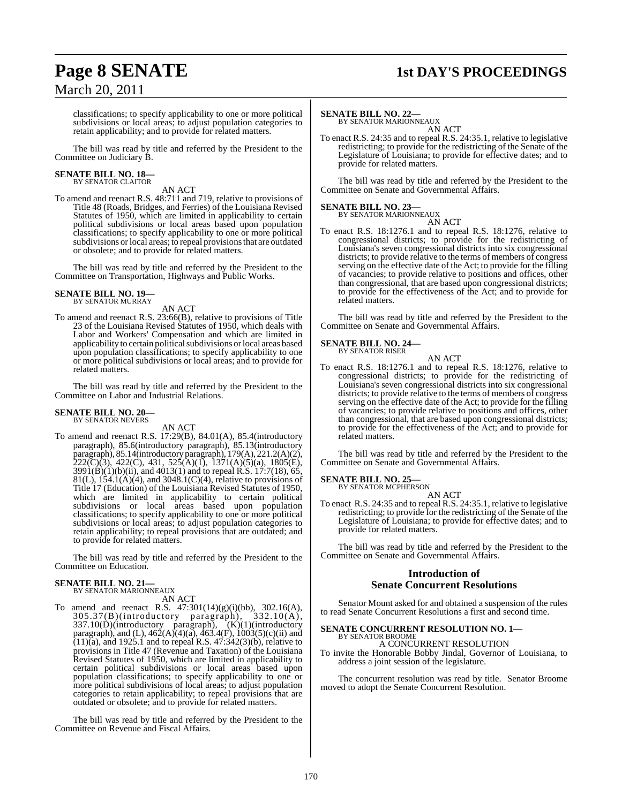# March 20, 2011

## **Page 8 SENATE 1st DAY'S PROCEEDINGS**

classifications; to specify applicability to one or more political subdivisions or local areas; to adjust population categories to retain applicability; and to provide for related matters.

The bill was read by title and referred by the President to the Committee on Judiciary B.

#### **SENATE BILL NO. 18—** BY SENATOR CLAITOR

AN ACT

To amend and reenact R.S. 48:711 and 719, relative to provisions of Title 48 (Roads, Bridges, and Ferries) of the Louisiana Revised Statutes of 1950, which are limited in applicability to certain political subdivisions or local areas based upon population classifications; to specify applicability to one or more political subdivisions orlocal areas; to repeal provisionsthat are outdated or obsolete; and to provide for related matters.

The bill was read by title and referred by the President to the Committee on Transportation, Highways and Public Works.

## **SENATE BILL NO. 19—** BY SENATOR MURRAY

AN ACT

To amend and reenact R.S. 23:66(B), relative to provisions of Title 23 of the Louisiana Revised Statutes of 1950, which deals with Labor and Workers' Compensation and which are limited in applicability to certain political subdivisions or local areas based upon population classifications; to specify applicability to one or more political subdivisions or local areas; and to provide for related matters.

The bill was read by title and referred by the President to the Committee on Labor and Industrial Relations.

#### **SENATE BILL NO. 20—** BY SENATOR NEVERS

AN ACT

To amend and reenact R.S. 17:29(B), 84.01(A), 85.4(introductory paragraph), 85.6(introductory paragraph), 85.13(introductory paragraph), 85.14(introductory paragraph), 179(A), 221.2(A)(2),  $222(\text{C})(3)$ , 422(C), 431, 525(A)(1), 1371(A)(5)(a), 1805(E),  $3991(\hat{B})(1)(b)(ii)$ , and  $4013(1)$  and to repeal R.S.  $17:7(18)$ , 65,  $81(L)$ ,  $154.1(A)(4)$ , and  $3048.1(C)(4)$ , relative to provisions of Title 17 (Education) of the Louisiana Revised Statutes of 1950, which are limited in applicability to certain political subdivisions or local areas based upon population classifications; to specify applicability to one or more political subdivisions or local areas; to adjust population categories to retain applicability; to repeal provisions that are outdated; and to provide for related matters.

The bill was read by title and referred by the President to the Committee on Education.

#### **SENATE BILL NO. 21—** BY SENATOR MARIONNEAUX

AN ACT

To amend and reenact R.S. 47:301(14)(g)(i)(bb), 302.16(A), 305.37(B)(introductory paragraph), 332.10(A),  $337.10(D)$ (introductory paragraph),  $(K)(1)$ (introductory paragraph), and (L),  $462(A)(a)$ ,  $463.4(F)$ ,  $1003(5)(c)(ii)$  and  $(11)(a)$ , and 1925.1 and to repeal R.S.  $47:342(3)(b)$ , relative to provisions in Title 47 (Revenue and Taxation) of the Louisiana Revised Statutes of 1950, which are limited in applicability to certain political subdivisions or local areas based upon population classifications; to specify applicability to one or more political subdivisions of local areas; to adjust population categories to retain applicability; to repeal provisions that are outdated or obsolete; and to provide for related matters.

The bill was read by title and referred by the President to the Committee on Revenue and Fiscal Affairs.

#### **SENATE BILL NO. 22—**

BY SENATOR MARIONNEAUX AN ACT

To enact R.S. 24:35 and to repeal R.S. 24:35.1, relative to legislative redistricting; to provide for the redistricting of the Senate of the Legislature of Louisiana; to provide for effective dates; and to provide for related matters.

The bill was read by title and referred by the President to the Committee on Senate and Governmental Affairs.

## **SENATE BILL NO. 23—** BY SENATOR MARIONNEAUX

AN ACT To enact R.S. 18:1276.1 and to repeal R.S. 18:1276, relative to congressional districts; to provide for the redistricting of Louisiana's seven congressional districts into six congressional districts; to provide relative to the terms of members of congress serving on the effective date of the Act; to provide for the filling of vacancies; to provide relative to positions and offices, other than congressional, that are based upon congressional districts; to provide for the effectiveness of the Act; and to provide for related matters.

The bill was read by title and referred by the President to the Committee on Senate and Governmental Affairs.

#### **SENATE BILL NO. 24—** BY SENATOR RISER

AN ACT

To enact R.S. 18:1276.1 and to repeal R.S. 18:1276, relative to congressional districts; to provide for the redistricting of Louisiana's seven congressional districts into six congressional districts; to provide relative to the terms of members of congress serving on the effective date of the Act; to provide for the filling of vacancies; to provide relative to positions and offices, other than congressional, that are based upon congressional districts; to provide for the effectiveness of the Act; and to provide for related matters.

The bill was read by title and referred by the President to the Committee on Senate and Governmental Affairs.

#### **SENATE BILL NO. 25—**

BY SENATOR MCPHERSON AN ACT

To enact R.S. 24:35 and to repeal R.S. 24:35.1, relative to legislative redistricting; to provide for the redistricting of the Senate of the Legislature of Louisiana; to provide for effective dates; and to provide for related matters.

The bill was read by title and referred by the President to the Committee on Senate and Governmental Affairs.

#### **Introduction of Senate Concurrent Resolutions**

Senator Mount asked for and obtained a suspension of the rules to read Senate Concurrent Resolutions a first and second time.

#### **SENATE CONCURRENT RESOLUTION NO. 1—** BY SENATOR BROOME

A CONCURRENT RESOLUTION

To invite the Honorable Bobby Jindal, Governor of Louisiana, to address a joint session of the legislature.

The concurrent resolution was read by title. Senator Broome moved to adopt the Senate Concurrent Resolution.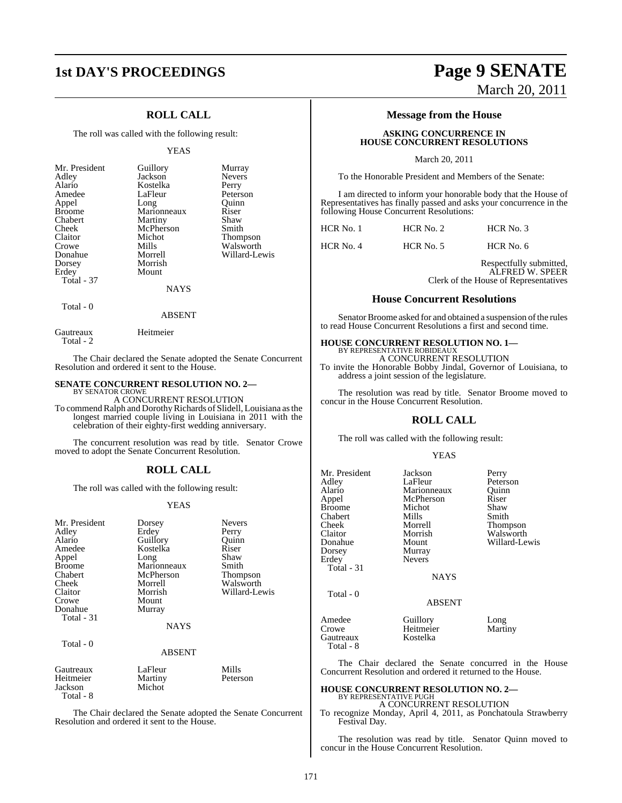#### **ROLL CALL**

The roll was called with the following result:

#### YEAS

| Mr. President<br>Adley<br>Alario<br>Amedee<br>Appel<br><b>Broome</b> | Guillory<br>Jackson<br>Kostelka<br>LaFleur<br>Long<br>Marionneaux | Murray<br><b>Nevers</b><br>Perry<br>Peterson<br>Ouinn<br>Riser |
|----------------------------------------------------------------------|-------------------------------------------------------------------|----------------------------------------------------------------|
| Chabert                                                              | Martiny<br>McPherson                                              | Shaw<br>Smith                                                  |
| Cheek<br>Claitor                                                     | Michot                                                            | <b>Thompson</b>                                                |
| Crowe                                                                | Mills                                                             | Walsworth                                                      |
| Donahue                                                              | Morrell                                                           | Willard-Lewis                                                  |
| Dorsey                                                               | Morrish                                                           |                                                                |
| Erdey                                                                | Mount                                                             |                                                                |
| <b>Total - 37</b>                                                    |                                                                   |                                                                |
|                                                                      | <b>NAYS</b>                                                       |                                                                |
|                                                                      |                                                                   |                                                                |

### Total - 0

ABSENT

Gautreaux Heitmeier Total - 2

Total - 8

The Chair declared the Senate adopted the Senate Concurrent Resolution and ordered it sent to the House.

#### **SENATE CONCURRENT RESOLUTION NO. 2—** BY SENATOR CROWE

A CONCURRENT RESOLUTION

To commend Ralph and Dorothy Richards of Slidell, Louisiana as the longest married couple living in Louisiana in 2011 with the celebration of their eighty-first wedding anniversary.

The concurrent resolution was read by title. Senator Crowe moved to adopt the Senate Concurrent Resolution.

#### **ROLL CALL**

The roll was called with the following result:

#### YEAS

| Mr. President<br>Adley<br>Alario<br>Amedee<br>Appel<br><b>Broome</b><br>Chabert<br>Cheek<br>Claitor<br>Crowe<br>Donahue<br>Total - 31<br>Total - 0 | Dorsey<br>Erdey<br>Guillory<br>Kostelka<br>Long<br>Marionneaux<br>McPherson<br>Morrell<br>Morrish<br>Mount<br>Murray<br><b>NAYS</b><br><b>ABSENT</b> | Nevers<br>Perry<br>Quinn<br>Riser<br>Shaw<br>Smith<br>Thompson<br>Walsworth<br>Willard-Lewis |
|----------------------------------------------------------------------------------------------------------------------------------------------------|------------------------------------------------------------------------------------------------------------------------------------------------------|----------------------------------------------------------------------------------------------|
| Gautreaux<br>Heitmeier<br>Jackson                                                                                                                  | LaFleur<br>Martiny<br>Michot                                                                                                                         | Mills<br>Peterson                                                                            |

The Chair declared the Senate adopted the Senate Concurrent Resolution and ordered it sent to the House.

## **1st DAY'S PROCEEDINGS Page 9 SENATE** March 20, 2011

#### **Message from the House**

#### **ASKING CONCURRENCE IN HOUSE CONCURRENT RESOLUTIONS**

March 20, 2011

To the Honorable President and Members of the Senate:

I am directed to inform your honorable body that the House of Representatives has finally passed and asks your concurrence in the following House Concurrent Resolutions:

| HCR No. 1 | HCR No. 2 | HCR No. 3 |
|-----------|-----------|-----------|
|           |           |           |

HCR No. 4 HCR No. 5 HCR No. 6

Respectfully submitted, ALFRED W. SPEER Clerk of the House of Representatives

#### **House Concurrent Resolutions**

Senator Broome asked for and obtained a suspension of the rules to read House Concurrent Resolutions a first and second time.

## **HOUSE CONCURRENT RESOLUTION NO. 1—** BY REPRESENTATIVE ROBIDEAUX

A CONCURRENT RESOLUTION

To invite the Honorable Bobby Jindal, Governor of Louisiana, to address a joint session of the legislature.

The resolution was read by title. Senator Broome moved to concur in the House Concurrent Resolution.

#### **ROLL CALL**

The roll was called with the following result:

#### YEAS

| Mr. President<br>Adley<br>Alario<br>Appel<br>Broome<br>Chabert<br>Cheek<br>Claitor<br>Donahue<br>Dorsey<br>Erdey | Jackson<br>LaFleur<br>Marionneaux<br>McPherson<br>Michot<br>Mills<br>Morrell<br>Morrish<br>Mount<br>Murray<br><b>Nevers</b> | Perry<br>Peterson<br>Ouinn<br>Riser<br>Shaw<br>Smith<br>Thompson<br>Walsworth<br>Willard-Lewis |
|------------------------------------------------------------------------------------------------------------------|-----------------------------------------------------------------------------------------------------------------------------|------------------------------------------------------------------------------------------------|
| Total - 31<br>Total - 0                                                                                          | <b>NAYS</b><br><b>ABSENT</b>                                                                                                |                                                                                                |
| Amedee                                                                                                           | Guillory                                                                                                                    | Long                                                                                           |

Crowe Heitmeier Martiny Gautreaux Total - 8

The Chair declared the Senate concurred in the House Concurrent Resolution and ordered it returned to the House.

### **HOUSE CONCURRENT RESOLUTION NO. 2—** BY REPRESENTATIVE PUGH A CONCURRENT RESOLUTION

To recognize Monday, April 4, 2011, as Ponchatoula Strawberry Festival Day.

The resolution was read by title. Senator Quinn moved to concur in the House Concurrent Resolution.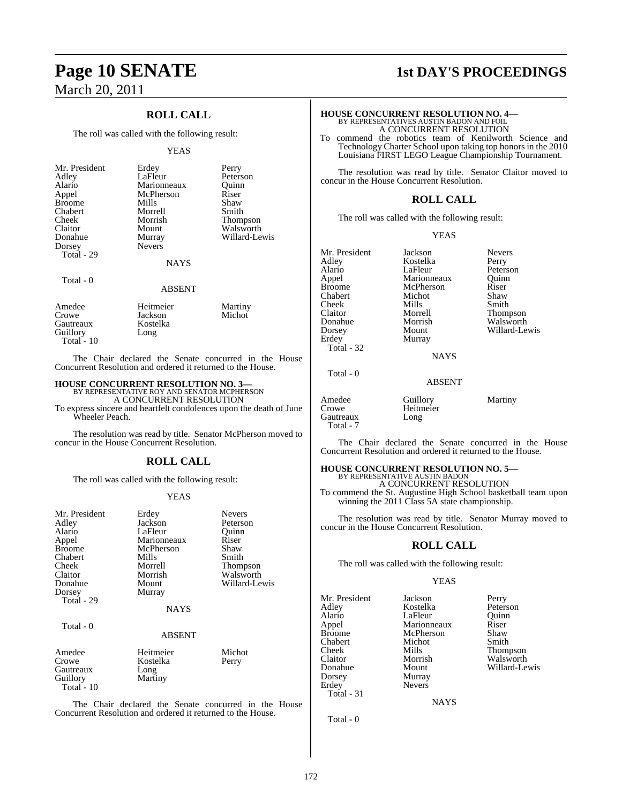## **Page 10 SENATE** 1st DAY'S PROCEEDINGS March 20, 2011

#### **ROLL CALL**

The roll was called with the following result:

#### YEAS

| Mr. President<br>Adley<br>Alario<br>Appel<br><b>Broome</b><br>Chabert<br>Cheek<br>Claitor<br>Donahue<br>Dorsey<br>Total - 29 | Erdey<br>LaFleur<br>Marionneaux<br>McPherson<br>Mills<br>Morrell<br>Morrish<br>Mount<br>Murray<br><b>Nevers</b> | Perry<br>Peterson<br>Ouinn<br>Riser<br>Shaw<br>Smith<br><b>Thompson</b><br>Walsworth<br>Willard-Lewis |
|------------------------------------------------------------------------------------------------------------------------------|-----------------------------------------------------------------------------------------------------------------|-------------------------------------------------------------------------------------------------------|
|                                                                                                                              | <b>NAYS</b>                                                                                                     |                                                                                                       |
| Total - 0                                                                                                                    |                                                                                                                 |                                                                                                       |

#### ABSENT

| Amedee       | Heitmeier | Martiny |
|--------------|-----------|---------|
| Crowe        | Jackson   | Michot  |
| Gautreaux    | Kostelka  |         |
| Guillory     | Long      |         |
| Total - $10$ |           |         |

The Chair declared the Senate concurred in the House Concurrent Resolution and ordered it returned to the House.

#### **HOUSE CONCURRENT RESOLUTION NO. 3—**

BY REPRESENTATIVE ROY AND SENATOR MCPHERSON A CONCURRENT RESOLUTION

To express sincere and heartfelt condolences upon the death of June Wheeler Peach.

The resolution was read by title. Senator McPherson moved to concur in the House Concurrent Resolution.

#### **ROLL CALL**

The roll was called with the following result:

#### YEAS

| Mr. President<br>Adley<br>Alario<br>Appel<br><b>Broome</b><br>Chabert<br>Cheek<br>Claitor<br>Donahue<br>Dorsey | Erdey<br>Jackson<br>LaFleur<br>Marionneaux<br>McPherson<br>Mills<br>Morrell<br>Morrish<br>Mount<br>Murray | <b>Nevers</b><br>Peterson<br>Ouinn<br>Riser<br>Shaw<br>Smith<br>Thompson<br>Walsworth<br>Willard-Lewis |
|----------------------------------------------------------------------------------------------------------------|-----------------------------------------------------------------------------------------------------------|--------------------------------------------------------------------------------------------------------|
| Total - 29                                                                                                     | <b>NAYS</b>                                                                                               |                                                                                                        |
| Total - 0                                                                                                      | ABSENT                                                                                                    |                                                                                                        |
| Amedee<br>Crowe<br>Gautreaux<br>Guillory<br>Total $-10$                                                        | Heitmeier<br>Kostelka<br>Long<br>Martiny                                                                  | Michot<br>Perry                                                                                        |

The Chair declared the Senate concurred in the House Concurrent Resolution and ordered it returned to the House.

#### **HOUSE CONCURRENT RESOLUTION NO. 4—** BY REPRESENTATIVES AUSTIN BADON AND FOIL

A CONCURRENT RESOLUTION

To commend the robotics team of Kenilworth Science and Technology Charter School upon taking top honors in the 2010 Louisiana FIRST LEGO League Championship Tournament.

The resolution was read by title. Senator Claitor moved to concur in the House Concurrent Resolution.

#### **ROLL CALL**

The roll was called with the following result:

#### YEAS

Mr. President Jackson Nevers<br>Adley Kostelka Perry Adley Kostelka Perry Cheek Mills<br>Claitor Morrell Dorsey Mount Willard-Lewis<br>Erdey Murray Total - 32

Total - 0

Total - 7

Gautreaux Long

McPherson Murray

Alario 1988 LaFleur Peterson<br>
Appel Marionneaux Quinn Appel Marionneaux Quinn<br>
Rroome McPherson Riser Chabert Michot Shaw Claitor Morrell Thompson Donahue Morrish Walsworth

**NAYS** 

#### ABSENT

| Amedee | Guillory  | Martiny |
|--------|-----------|---------|
| Crowe  | Heitmeier |         |

The Chair declared the Senate concurred in the House Concurrent Resolution and ordered it returned to the House.

#### **HOUSE CONCURRENT RESOLUTION NO. 5—** BY REPRESENTATIVE AUSTIN BADON

Heitmeier

A CONCURRENT RESOLUTION To commend the St. Augustine High School basketball team upon winning the 2011 Class 5A state championship.

The resolution was read by title. Senator Murray moved to concur in the House Concurrent Resolution.

#### **ROLL CALL**

The roll was called with the following result:

#### YEAS

Mr. President Jackson Perry<br>Adley Kostelka Peterson Adley Kostelka Peterson Alario LaFleur Quinn<br>Appel Marionneaux Riser Broome McPherson Shaw<br>Chabert Michot Smith Chabert Micho<br>
Cheek Mills Cheek Mills Thompson Claitor Morrish Walsworth Dorsey<br>Erdey Total - 31

Marionneaux Mount Willard-Lewis<br>Murray Nevers

**NAYS** 

Total - 0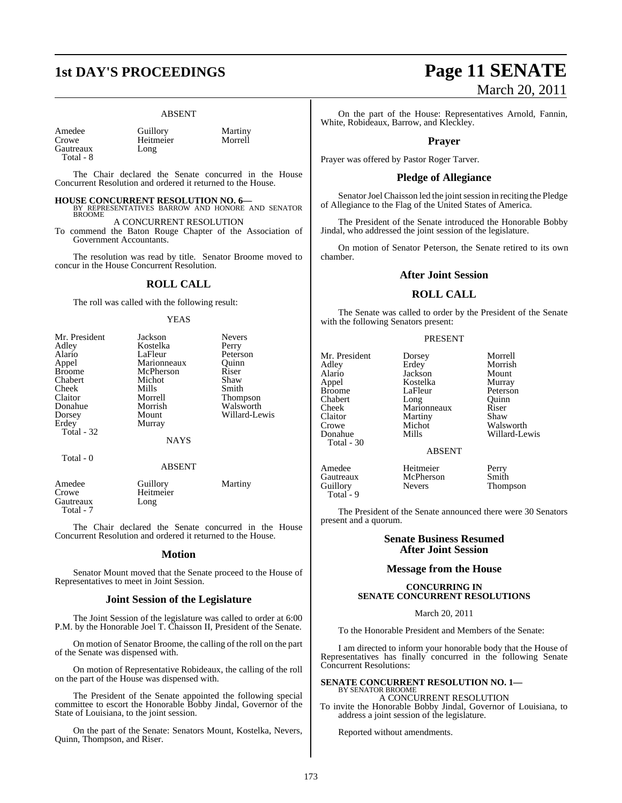#### ABSENT

Amedee Guillory Martiny<br>Crowe Heitmeier Morrell Gautreaux Total - 8

Heitmeier<br>Long

The Chair declared the Senate concurred in the House Concurrent Resolution and ordered it returned to the House.

#### **HOUSE CONCURRENT RESOLUTION NO. 6—**

BY REPRESENTATIVES BARROW AND HONORE AND SENATOR BROOME A CONCURRENT RESOLUTION

To commend the Baton Rouge Chapter of the Association of Government Accountants.

The resolution was read by title. Senator Broome moved to concur in the House Concurrent Resolution.

#### **ROLL CALL**

The roll was called with the following result:

#### YEAS

| Mr. President | Jackson     | <b>Nevers</b>   |
|---------------|-------------|-----------------|
| Adley         | Kostelka    | Perry           |
| Alario        | LaFleur     | Peterson        |
| Appel         | Marionneaux | Ouinn           |
| <b>Broome</b> | McPherson   | Riser           |
| Chabert       | Michot      | Shaw            |
| Cheek         | Mills       | Smith           |
| Claitor       | Morrell     | <b>Thompson</b> |
| Donahue       | Morrish     | Walsworth       |
| Dorsey        | Mount       | Willard-Lewis   |
| Erdey         | Murray      |                 |
| Total - 32    |             |                 |
|               | <b>NAYS</b> |                 |
| Total - 0     |             |                 |

#### ABSENT

| Amedee<br>Crowe        | Guillory<br>Heitmeier | Martiny |
|------------------------|-----------------------|---------|
| Gautreaux<br>Total - 7 | Long                  |         |

The Chair declared the Senate concurred in the House Concurrent Resolution and ordered it returned to the House.

#### **Motion**

Senator Mount moved that the Senate proceed to the House of Representatives to meet in Joint Session.

#### **Joint Session of the Legislature**

The Joint Session of the legislature was called to order at 6:00 P.M. by the Honorable Joel T. Chaisson II, President of the Senate.

On motion of Senator Broome, the calling of the roll on the part of the Senate was dispensed with.

On motion of Representative Robideaux, the calling of the roll on the part of the House was dispensed with.

The President of the Senate appointed the following special committee to escort the Honorable Bobby Jindal, Governor of the State of Louisiana, to the joint session.

On the part of the Senate: Senators Mount, Kostelka, Nevers, Quinn, Thompson, and Riser.

## **1st DAY'S PROCEEDINGS Page 11 SENATE** March 20, 2011

On the part of the House: Representatives Arnold, Fannin, White, Robideaux, Barrow, and Kleckley.

#### **Prayer**

Prayer was offered by Pastor Roger Tarver.

#### **Pledge of Allegiance**

Senator Joel Chaisson led the joint session in reciting the Pledge of Allegiance to the Flag of the United States of America.

The President of the Senate introduced the Honorable Bobby Jindal, who addressed the joint session of the legislature.

On motion of Senator Peterson, the Senate retired to its own chamber.

#### **After Joint Session**

#### **ROLL CALL**

The Senate was called to order by the President of the Senate with the following Senators present:

#### PRESENT

Mr. President Dorsey Morrell Alario Jackson Mount Appel Kostelka<br>Broome LaFleur Chabert Long Quinn<br>Cheek Marionneaux Riser Cheek Marionneaux Riser<br>Claitor Martiny Shaw Claitor Martiny<br>Crowe Michot Crowe Michot Walsworth<br>Donahue Mills Willard-Le Total - 30

Total - 9

LaFleur Peterson<br>Long Quinn

Morrish Willard-Lewis

#### ABSENT

Amedee Heitmeier Perry Gautreaux McPherson Smith<br>Guillory Nevers Thom

Thompson

The President of the Senate announced there were 30 Senators present and a quorum.

#### **Senate Business Resumed After Joint Session**

#### **Message from the House**

#### **CONCURRING IN SENATE CONCURRENT RESOLUTIONS**

March 20, 2011

To the Honorable President and Members of the Senate:

I am directed to inform your honorable body that the House of Representatives has finally concurred in the following Senate Concurrent Resolutions:

#### **SENATE CONCURRENT RESOLUTION NO. 1—** BY SENATOR BROOME A CONCURRENT RESOLUTION

To invite the Honorable Bobby Jindal, Governor of Louisiana, to address a joint session of the legislature.

Reported without amendments.